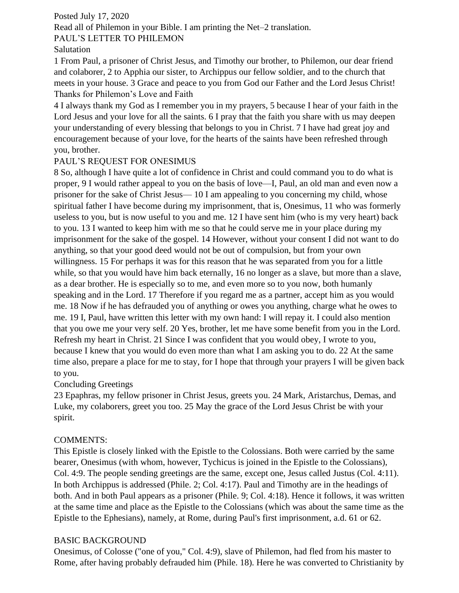# Posted July 17, 2020 Read all of Philemon in your Bible. I am printing the Net–2 translation. PAUL'S LETTER TO PHILEMON

### Salutation

1 From Paul, a prisoner of Christ Jesus, and Timothy our brother, to Philemon, our dear friend and colaborer, 2 to Apphia our sister, to Archippus our fellow soldier, and to the church that meets in your house. 3 Grace and peace to you from God our Father and the Lord Jesus Christ! Thanks for Philemon's Love and Faith

4 I always thank my God as I remember you in my prayers, 5 because I hear of your faith in the Lord Jesus and your love for all the saints. 6 I pray that the faith you share with us may deepen your understanding of every blessing that belongs to you in Christ. 7 I have had great joy and encouragement because of your love, for the hearts of the saints have been refreshed through you, brother.

# PAUL'S REQUEST FOR ONESIMUS

8 So, although I have quite a lot of confidence in Christ and could command you to do what is proper, 9 I would rather appeal to you on the basis of love—I, Paul, an old man and even now a prisoner for the sake of Christ Jesus— 10 I am appealing to you concerning my child, whose spiritual father I have become during my imprisonment, that is, Onesimus, 11 who was formerly useless to you, but is now useful to you and me. 12 I have sent him (who is my very heart) back to you. 13 I wanted to keep him with me so that he could serve me in your place during my imprisonment for the sake of the gospel. 14 However, without your consent I did not want to do anything, so that your good deed would not be out of compulsion, but from your own willingness. 15 For perhaps it was for this reason that he was separated from you for a little while, so that you would have him back eternally, 16 no longer as a slave, but more than a slave, as a dear brother. He is especially so to me, and even more so to you now, both humanly speaking and in the Lord. 17 Therefore if you regard me as a partner, accept him as you would me. 18 Now if he has defrauded you of anything or owes you anything, charge what he owes to me. 19 I, Paul, have written this letter with my own hand: I will repay it. I could also mention that you owe me your very self. 20 Yes, brother, let me have some benefit from you in the Lord. Refresh my heart in Christ. 21 Since I was confident that you would obey, I wrote to you, because I knew that you would do even more than what I am asking you to do. 22 At the same time also, prepare a place for me to stay, for I hope that through your prayers I will be given back to you.

### Concluding Greetings

23 Epaphras, my fellow prisoner in Christ Jesus, greets you. 24 Mark, Aristarchus, Demas, and Luke, my colaborers, greet you too. 25 May the grace of the Lord Jesus Christ be with your spirit.

### COMMENTS:

This Epistle is closely linked with the Epistle to the Colossians. Both were carried by the same bearer, Onesimus (with whom, however, Tychicus is joined in the Epistle to the Colossians), Col. 4:9. The people sending greetings are the same, except one, Jesus called Justus (Col. 4:11). In both Archippus is addressed (Phile. 2; Col. 4:17). Paul and Timothy are in the headings of both. And in both Paul appears as a prisoner (Phile. 9; Col. 4:18). Hence it follows, it was written at the same time and place as the Epistle to the Colossians (which was about the same time as the Epistle to the Ephesians), namely, at Rome, during Paul's first imprisonment, a.d. 61 or 62.

### BASIC BACKGROUND

Onesimus, of Colosse ("one of you," Col. 4:9), slave of Philemon, had fled from his master to Rome, after having probably defrauded him (Phile. 18). Here he was converted to Christianity by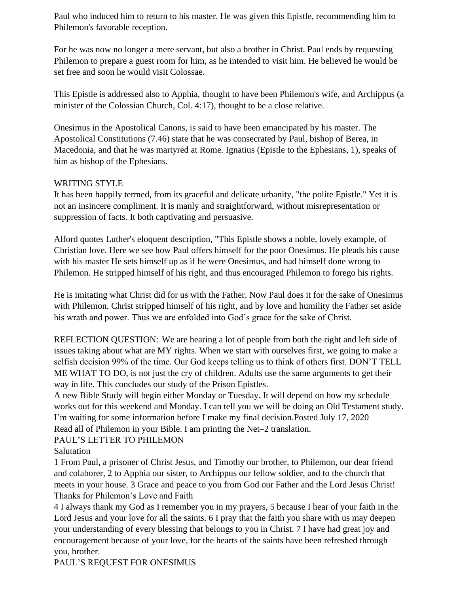Paul who induced him to return to his master. He was given this Epistle, recommending him to Philemon's favorable reception.

For he was now no longer a mere servant, but also a brother in Christ. Paul ends by requesting Philemon to prepare a guest room for him, as he intended to visit him. He believed he would be set free and soon he would visit Colossae.

This Epistle is addressed also to Apphia, thought to have been Philemon's wife, and Archippus (a minister of the Colossian Church, Col. 4:17), thought to be a close relative.

Onesimus in the Apostolical Canons, is said to have been emancipated by his master. The Apostolical Constitutions (7.46) state that he was consecrated by Paul, bishop of Berea, in Macedonia, and that he was martyred at Rome. Ignatius (Epistle to the Ephesians, 1), speaks of him as bishop of the Ephesians.

# WRITING STYLE

It has been happily termed, from its graceful and delicate urbanity, "the polite Epistle." Yet it is not an insincere compliment. It is manly and straightforward, without misrepresentation or suppression of facts. It both captivating and persuasive.

Alford quotes Luther's eloquent description, "This Epistle shows a noble, lovely example, of Christian love. Here we see how Paul offers himself for the poor Onesimus. He pleads his cause with his master He sets himself up as if he were Onesimus, and had himself done wrong to Philemon. He stripped himself of his right, and thus encouraged Philemon to forego his rights.

He is imitating what Christ did for us with the Father. Now Paul does it for the sake of Onesimus with Philemon. Christ stripped himself of his right, and by love and humility the Father set aside his wrath and power. Thus we are enfolded into God's grace for the sake of Christ.

REFLECTION QUESTION: We are hearing a lot of people from both the right and left side of issues taking about what are MY rights. When we start with ourselves first, we going to make a selfish decision 99% of the time. Our God keeps telling us to think of others first. DON'T TELL ME WHAT TO DO, is not just the cry of children. Adults use the same arguments to get their way in life. This concludes our study of the Prison Epistles.

A new Bible Study will begin either Monday or Tuesday. It will depend on how my schedule works out for this weekend and Monday. I can tell you we will be doing an Old Testament study. I'm waiting for some information before I make my final decision.Posted July 17, 2020 Read all of Philemon in your Bible. I am printing the Net–2 translation.

# PAUL'S LETTER TO PHILEMON

Salutation

1 From Paul, a prisoner of Christ Jesus, and Timothy our brother, to Philemon, our dear friend and colaborer, 2 to Apphia our sister, to Archippus our fellow soldier, and to the church that meets in your house. 3 Grace and peace to you from God our Father and the Lord Jesus Christ! Thanks for Philemon's Love and Faith

4 I always thank my God as I remember you in my prayers, 5 because I hear of your faith in the Lord Jesus and your love for all the saints. 6 I pray that the faith you share with us may deepen your understanding of every blessing that belongs to you in Christ. 7 I have had great joy and encouragement because of your love, for the hearts of the saints have been refreshed through you, brother.

PAUL'S REQUEST FOR ONESIMUS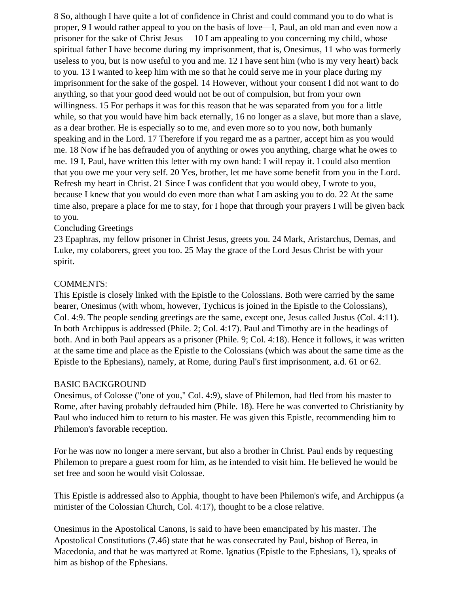8 So, although I have quite a lot of confidence in Christ and could command you to do what is proper, 9 I would rather appeal to you on the basis of love—I, Paul, an old man and even now a prisoner for the sake of Christ Jesus— 10 I am appealing to you concerning my child, whose spiritual father I have become during my imprisonment, that is, Onesimus, 11 who was formerly useless to you, but is now useful to you and me. 12 I have sent him (who is my very heart) back to you. 13 I wanted to keep him with me so that he could serve me in your place during my imprisonment for the sake of the gospel. 14 However, without your consent I did not want to do anything, so that your good deed would not be out of compulsion, but from your own willingness. 15 For perhaps it was for this reason that he was separated from you for a little while, so that you would have him back eternally, 16 no longer as a slave, but more than a slave, as a dear brother. He is especially so to me, and even more so to you now, both humanly speaking and in the Lord. 17 Therefore if you regard me as a partner, accept him as you would me. 18 Now if he has defrauded you of anything or owes you anything, charge what he owes to me. 19 I, Paul, have written this letter with my own hand: I will repay it. I could also mention that you owe me your very self. 20 Yes, brother, let me have some benefit from you in the Lord. Refresh my heart in Christ. 21 Since I was confident that you would obey, I wrote to you, because I knew that you would do even more than what I am asking you to do. 22 At the same time also, prepare a place for me to stay, for I hope that through your prayers I will be given back to you.

### Concluding Greetings

23 Epaphras, my fellow prisoner in Christ Jesus, greets you. 24 Mark, Aristarchus, Demas, and Luke, my colaborers, greet you too. 25 May the grace of the Lord Jesus Christ be with your spirit.

### COMMENTS:

This Epistle is closely linked with the Epistle to the Colossians. Both were carried by the same bearer, Onesimus (with whom, however, Tychicus is joined in the Epistle to the Colossians), Col. 4:9. The people sending greetings are the same, except one, Jesus called Justus (Col. 4:11). In both Archippus is addressed (Phile. 2; Col. 4:17). Paul and Timothy are in the headings of both. And in both Paul appears as a prisoner (Phile. 9; Col. 4:18). Hence it follows, it was written at the same time and place as the Epistle to the Colossians (which was about the same time as the Epistle to the Ephesians), namely, at Rome, during Paul's first imprisonment, a.d. 61 or 62.

### BASIC BACKGROUND

Onesimus, of Colosse ("one of you," Col. 4:9), slave of Philemon, had fled from his master to Rome, after having probably defrauded him (Phile. 18). Here he was converted to Christianity by Paul who induced him to return to his master. He was given this Epistle, recommending him to Philemon's favorable reception.

For he was now no longer a mere servant, but also a brother in Christ. Paul ends by requesting Philemon to prepare a guest room for him, as he intended to visit him. He believed he would be set free and soon he would visit Colossae.

This Epistle is addressed also to Apphia, thought to have been Philemon's wife, and Archippus (a minister of the Colossian Church, Col. 4:17), thought to be a close relative.

Onesimus in the Apostolical Canons, is said to have been emancipated by his master. The Apostolical Constitutions (7.46) state that he was consecrated by Paul, bishop of Berea, in Macedonia, and that he was martyred at Rome. Ignatius (Epistle to the Ephesians, 1), speaks of him as bishop of the Ephesians.